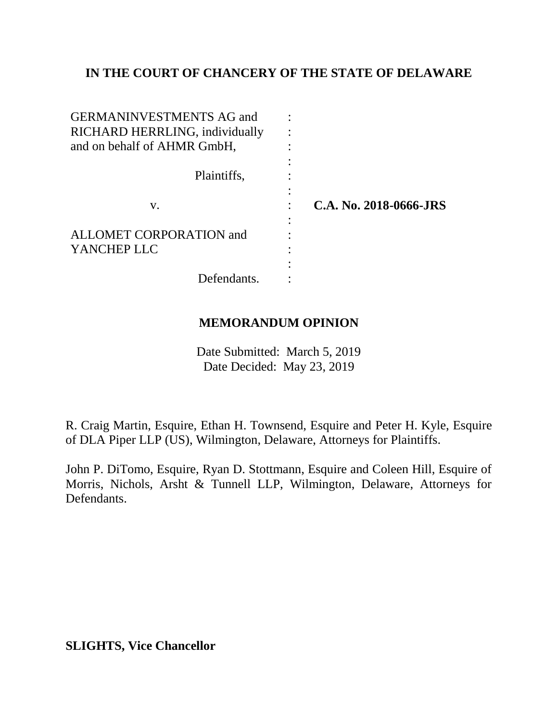# **IN THE COURT OF CHANCERY OF THE STATE OF DELAWARE**

| <b>GERMANINVESTMENTS AG and</b><br>RICHARD HERRLING, individually |                        |
|-------------------------------------------------------------------|------------------------|
| and on behalf of AHMR GmbH,                                       |                        |
| Plaintiffs,                                                       |                        |
| V.                                                                | C.A. No. 2018-0666-JRS |
| ALLOMET CORPORATION and<br>YANCHEP LLC                            |                        |
| Defendants.                                                       |                        |

# **MEMORANDUM OPINION**

Date Submitted: March 5, 2019 Date Decided: May 23, 2019

R. Craig Martin, Esquire, Ethan H. Townsend, Esquire and Peter H. Kyle, Esquire of DLA Piper LLP (US), Wilmington, Delaware, Attorneys for Plaintiffs.

John P. DiTomo, Esquire, Ryan D. Stottmann, Esquire and Coleen Hill, Esquire of Morris, Nichols, Arsht & Tunnell LLP, Wilmington, Delaware, Attorneys for Defendants.

**SLIGHTS, Vice Chancellor**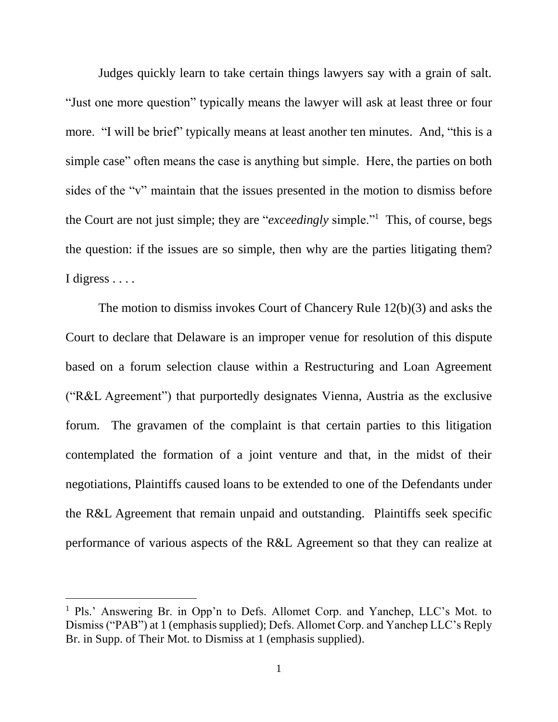Judges quickly learn to take certain things lawyers say with a grain of salt. "Just one more question" typically means the lawyer will ask at least three or four more. "I will be brief" typically means at least another ten minutes. And, "this is a simple case" often means the case is anything but simple. Here, the parties on both sides of the "v" maintain that the issues presented in the motion to dismiss before the Court are not just simple; they are "*exceedingly* simple."<sup>1</sup> This, of course, begs the question: if the issues are so simple, then why are the parties litigating them? I digress . . . .

The motion to dismiss invokes Court of Chancery Rule 12(b)(3) and asks the Court to declare that Delaware is an improper venue for resolution of this dispute based on a forum selection clause within a Restructuring and Loan Agreement ("R&L Agreement") that purportedly designates Vienna, Austria as the exclusive forum. The gravamen of the complaint is that certain parties to this litigation contemplated the formation of a joint venture and that, in the midst of their negotiations, Plaintiffs caused loans to be extended to one of the Defendants under the R&L Agreement that remain unpaid and outstanding. Plaintiffs seek specific performance of various aspects of the R&L Agreement so that they can realize at

<sup>1</sup> Pls.' Answering Br. in Opp'n to Defs. Allomet Corp. and Yanchep, LLC's Mot. to Dismiss ("PAB") at 1 (emphasis supplied); Defs. Allomet Corp. and Yanchep LLC's Reply Br. in Supp. of Their Mot. to Dismiss at 1 (emphasis supplied).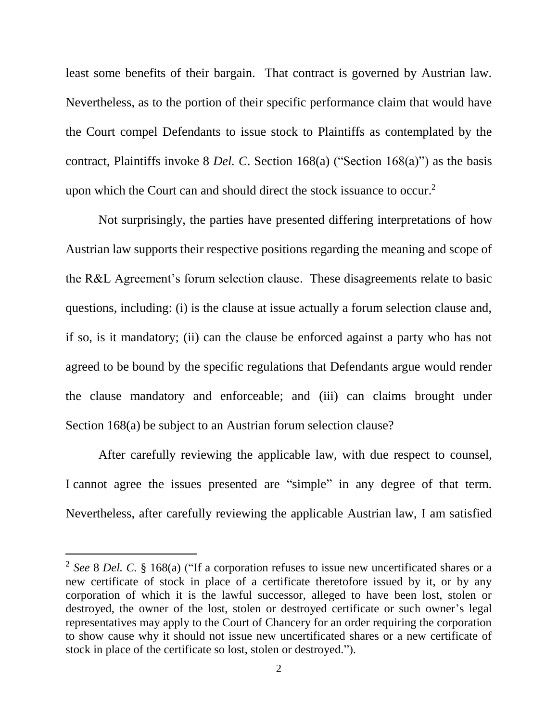least some benefits of their bargain. That contract is governed by Austrian law. Nevertheless, as to the portion of their specific performance claim that would have the Court compel Defendants to issue stock to Plaintiffs as contemplated by the contract, Plaintiffs invoke 8 *Del. C*. Section 168(a) ("Section 168(a)") as the basis upon which the Court can and should direct the stock issuance to occur.<sup>2</sup>

Not surprisingly, the parties have presented differing interpretations of how Austrian law supports their respective positions regarding the meaning and scope of the R&L Agreement's forum selection clause. These disagreements relate to basic questions, including: (i) is the clause at issue actually a forum selection clause and, if so, is it mandatory; (ii) can the clause be enforced against a party who has not agreed to be bound by the specific regulations that Defendants argue would render the clause mandatory and enforceable; and (iii) can claims brought under Section 168(a) be subject to an Austrian forum selection clause?

After carefully reviewing the applicable law, with due respect to counsel, I cannot agree the issues presented are "simple" in any degree of that term. Nevertheless, after carefully reviewing the applicable Austrian law, I am satisfied

<sup>2</sup> *See* 8 *Del. C.* § 168(a) ("If a corporation refuses to issue new uncertificated shares or a new certificate of stock in place of a certificate theretofore issued by it, or by any corporation of which it is the lawful successor, alleged to have been lost, stolen or destroyed, the owner of the lost, stolen or destroyed certificate or such owner's legal representatives may apply to the Court of Chancery for an order requiring the corporation to show cause why it should not issue new uncertificated shares or a new certificate of stock in place of the certificate so lost, stolen or destroyed.").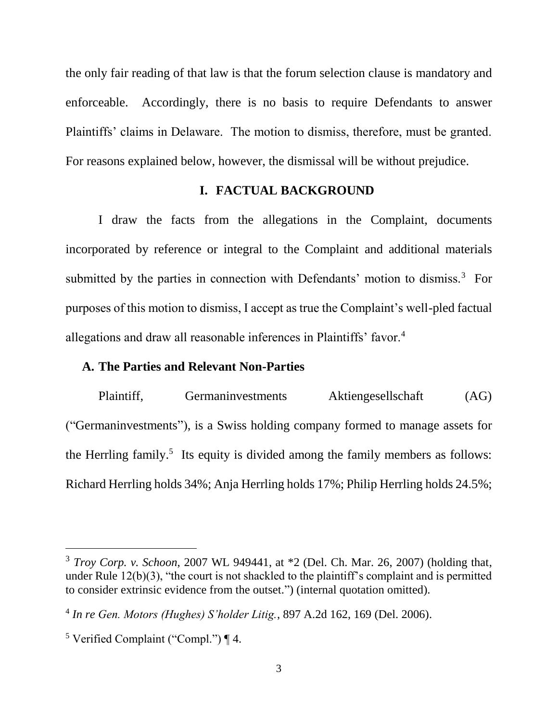the only fair reading of that law is that the forum selection clause is mandatory and enforceable. Accordingly, there is no basis to require Defendants to answer Plaintiffs' claims in Delaware. The motion to dismiss, therefore, must be granted. For reasons explained below, however, the dismissal will be without prejudice.

#### **I. FACTUAL BACKGROUND**

I draw the facts from the allegations in the Complaint, documents incorporated by reference or integral to the Complaint and additional materials submitted by the parties in connection with Defendants' motion to dismiss.<sup>3</sup> For purposes of this motion to dismiss, I accept as true the Complaint's well-pled factual allegations and draw all reasonable inferences in Plaintiffs' favor.<sup>4</sup>

## **A. The Parties and Relevant Non-Parties**

Plaintiff, Germaninvestments Aktiengesellschaft (AG) ("Germaninvestments"), is a Swiss holding company formed to manage assets for the Herrling family.<sup>5</sup> Its equity is divided among the family members as follows: Richard Herrling holds 34%; Anja Herrling holds 17%; Philip Herrling holds 24.5%;

<sup>3</sup> *Troy Corp. v. Schoon*, 2007 WL 949441, at \*2 (Del. Ch. Mar. 26, 2007) (holding that, under Rule  $12(b)(3)$ , "the court is not shackled to the plaintiff's complaint and is permitted to consider extrinsic evidence from the outset.") (internal quotation omitted).

<sup>4</sup> *In re Gen. Motors (Hughes) S'holder Litig.*, 897 A.2d 162, 169 (Del. 2006).

<sup>&</sup>lt;sup>5</sup> Verified Complaint ("Compl.")  $\P$  4.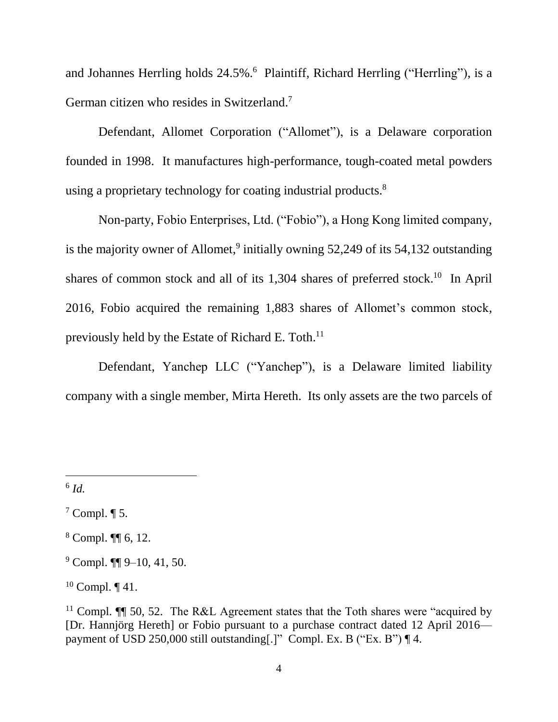and Johannes Herrling holds 24.5%. <sup>6</sup> Plaintiff, Richard Herrling ("Herrling"), is a German citizen who resides in Switzerland.<sup>7</sup>

Defendant, Allomet Corporation ("Allomet"), is a Delaware corporation founded in 1998. It manufactures high-performance, tough-coated metal powders using a proprietary technology for coating industrial products.<sup>8</sup>

Non-party, Fobio Enterprises, Ltd. ("Fobio"), a Hong Kong limited company, is the majority owner of Allomet,<sup>9</sup> initially owning 52,249 of its 54,132 outstanding shares of common stock and all of its 1,304 shares of preferred stock.<sup>10</sup> In April 2016, Fobio acquired the remaining 1,883 shares of Allomet's common stock, previously held by the Estate of Richard E. Toth.<sup>11</sup>

Defendant, Yanchep LLC ("Yanchep"), is a Delaware limited liability company with a single member, Mirta Hereth. Its only assets are the two parcels of

6 *Id.*

 $\overline{a}$ 

<sup>8</sup> Compl. ¶¶ 6, 12.

 $7$  Compl.  $\P$  5.

 $9$  Compl.  $\P\P$  9–10, 41, 50.

<sup>&</sup>lt;sup>10</sup> Compl.  $\P$  41.

<sup>&</sup>lt;sup>11</sup> Compl.  $\P$  50, 52. The R&L Agreement states that the Toth shares were "acquired by [Dr. Hannjörg Hereth] or Fobio pursuant to a purchase contract dated 12 April 2016–– payment of USD 250,000 still outstanding[.]" Compl. Ex. B ("Ex. B") ¶ 4.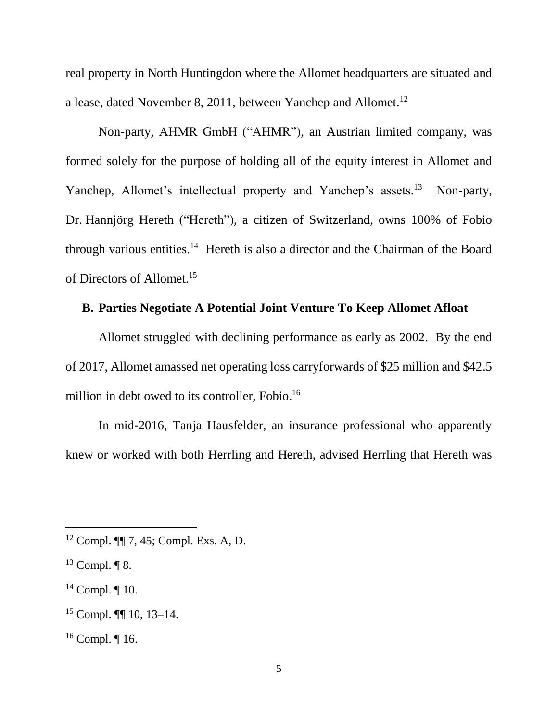real property in North Huntingdon where the Allomet headquarters are situated and a lease, dated November 8, 2011, between Yanchep and Allomet.<sup>12</sup>

Non-party, AHMR GmbH ("AHMR"), an Austrian limited company, was formed solely for the purpose of holding all of the equity interest in Allomet and Yanchep, Allomet's intellectual property and Yanchep's assets.<sup>13</sup> Non-party, Dr. Hannjörg Hereth ("Hereth"), a citizen of Switzerland, owns 100% of Fobio through various entities.<sup>14</sup> Hereth is also a director and the Chairman of the Board of Directors of Allomet.<sup>15</sup>

# **B. Parties Negotiate A Potential Joint Venture To Keep Allomet Afloat**

Allomet struggled with declining performance as early as 2002. By the end of 2017, Allomet amassed net operating loss carryforwards of \$25 million and \$42.5 million in debt owed to its controller, Fobio. 16

In mid-2016, Tanja Hausfelder, an insurance professional who apparently knew or worked with both Herrling and Hereth, advised Herrling that Hereth was

l

<sup>15</sup> Compl. ¶¶ 10, 13–14.

<sup>12</sup> Compl. ¶¶ 7, 45; Compl. Exs. A, D.

 $13$  Compl.  $\P$  8.

 $14$  Compl.  $\P$  10.

 $16$  Compl. | 16.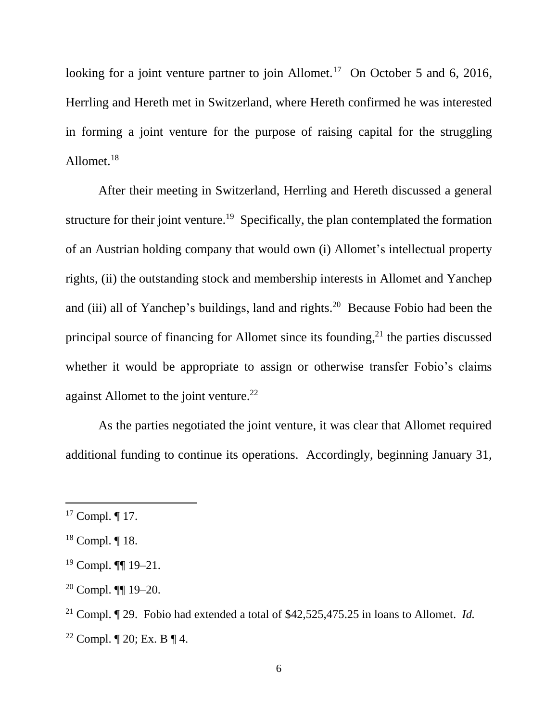looking for a joint venture partner to join Allomet.<sup>17</sup> On October 5 and 6, 2016, Herrling and Hereth met in Switzerland, where Hereth confirmed he was interested in forming a joint venture for the purpose of raising capital for the struggling Allomet.<sup>18</sup>

After their meeting in Switzerland, Herrling and Hereth discussed a general structure for their joint venture.<sup>19</sup> Specifically, the plan contemplated the formation of an Austrian holding company that would own (i) Allomet's intellectual property rights, (ii) the outstanding stock and membership interests in Allomet and Yanchep and (iii) all of Yanchep's buildings, land and rights.<sup>20</sup> Because Fobio had been the principal source of financing for Allomet since its founding,<sup>21</sup> the parties discussed whether it would be appropriate to assign or otherwise transfer Fobio's claims against Allomet to the joint venture.<sup>22</sup>

As the parties negotiated the joint venture, it was clear that Allomet required additional funding to continue its operations. Accordingly, beginning January 31,

<sup>17</sup> Compl. ¶ 17.

<sup>18</sup> Compl. ¶ 18.

 $19$  Compl. **[1]** 19–21.

<sup>20</sup> Compl. ¶¶ 19–20.

<sup>21</sup> Compl. ¶ 29. Fobio had extended a total of \$42,525,475.25 in loans to Allomet. *Id.* <sup>22</sup> Compl.  $\P$  20; Ex. B  $\P$  4.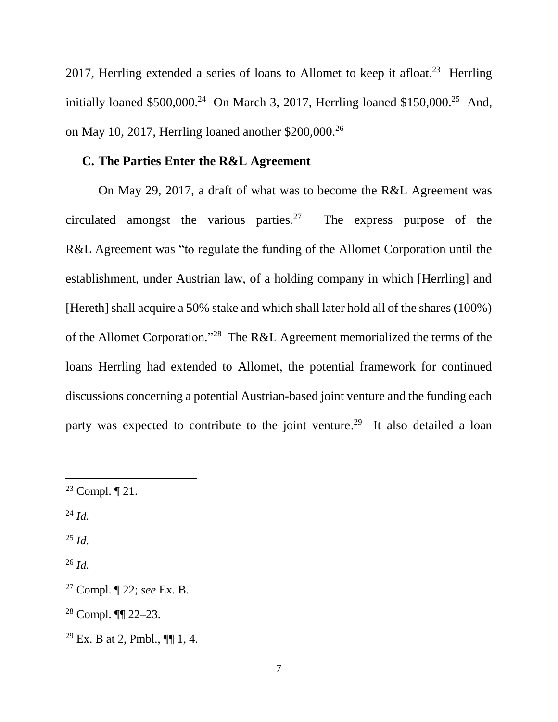2017, Herrling extended a series of loans to Allomet to keep it afloat.<sup>23</sup> Herrling initially loaned  $$500,000.<sup>24</sup>$  On March 3, 2017, Herrling loaned  $$150,000.<sup>25</sup>$  And, on May 10, 2017, Herrling loaned another \$200,000.<sup>26</sup>

## **C. The Parties Enter the R&L Agreement**

On May 29, 2017, a draft of what was to become the R&L Agreement was circulated amongst the various parties.<sup>27</sup> The express purpose of the R&L Agreement was "to regulate the funding of the Allomet Corporation until the establishment, under Austrian law, of a holding company in which [Herrling] and [Hereth] shall acquire a 50% stake and which shall later hold all of the shares (100%) of the Allomet Corporation."<sup>28</sup> The R&L Agreement memorialized the terms of the loans Herrling had extended to Allomet, the potential framework for continued discussions concerning a potential Austrian-based joint venture and the funding each party was expected to contribute to the joint venture.<sup>29</sup> It also detailed a loan

<sup>24</sup> *Id.*

 $\overline{a}$ 

<sup>25</sup> *Id.*

<sup>23</sup> Compl. ¶ 21.

<sup>26</sup> *Id.*

<sup>27</sup> Compl. ¶ 22; *see* Ex. B.

<sup>28</sup> Compl. ¶¶ 22–23.

<sup>&</sup>lt;sup>29</sup> Ex. B at 2, Pmbl.,  $\P\P$  1, 4.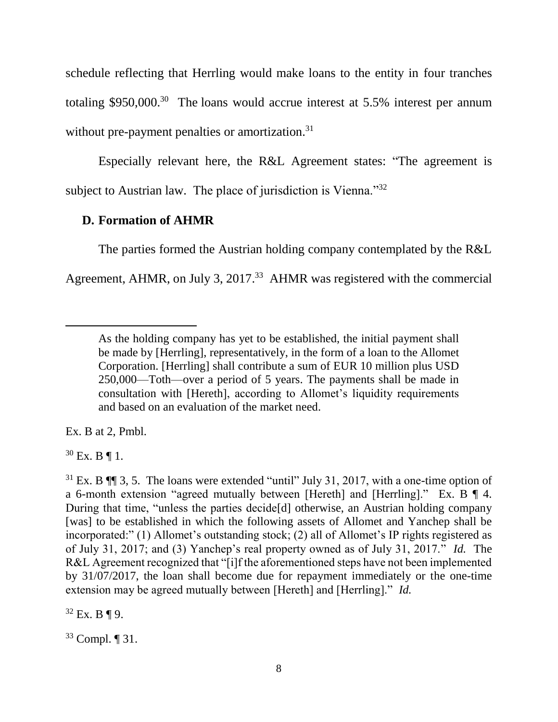schedule reflecting that Herrling would make loans to the entity in four tranches totaling  $$950,000.<sup>30</sup>$  The loans would accrue interest at 5.5% interest per annum without pre-payment penalties or amortization.<sup>31</sup>

Especially relevant here, the R&L Agreement states: "The agreement is subject to Austrian law. The place of jurisdiction is Vienna."<sup>32</sup>

## **D. Formation of AHMR**

The parties formed the Austrian holding company contemplated by the R&L Agreement, AHMR, on July 3, 2017. 33 AHMR was registered with the commercial

Ex. B at 2, Pmbl.

 $30$  Ex. B | 1.

l

 $32$  Ex. B ¶ 9.

<sup>33</sup> Compl. ¶ 31.

As the holding company has yet to be established, the initial payment shall be made by [Herrling], representatively, in the form of a loan to the Allomet Corporation. [Herrling] shall contribute a sum of EUR 10 million plus USD 250,000—Toth—over a period of 5 years. The payments shall be made in consultation with [Hereth], according to Allomet's liquidity requirements and based on an evaluation of the market need.

 $31$  Ex. B  $\P$   $\P$  3, 5. The loans were extended "until" July 31, 2017, with a one-time option of a 6-month extension "agreed mutually between [Hereth] and [Herrling]." Ex. B ¶ 4. During that time, "unless the parties decide[d] otherwise, an Austrian holding company [was] to be established in which the following assets of Allomet and Yanchep shall be incorporated:" (1) Allomet's outstanding stock; (2) all of Allomet's IP rights registered as of July 31, 2017; and (3) Yanchep's real property owned as of July 31, 2017." *Id.* The R&L Agreement recognized that "[i]f the aforementioned steps have not been implemented by 31/07/2017, the loan shall become due for repayment immediately or the one-time extension may be agreed mutually between [Hereth] and [Herrling]." *Id.*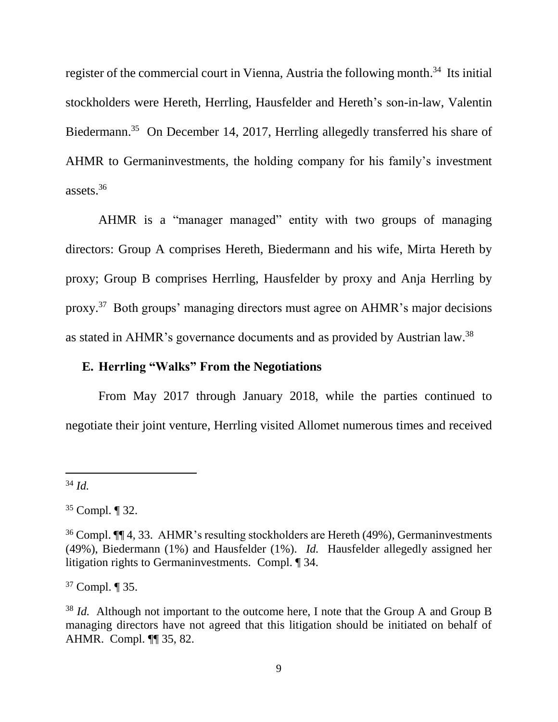register of the commercial court in Vienna, Austria the following month.<sup>34</sup> Its initial stockholders were Hereth, Herrling, Hausfelder and Hereth's son-in-law, Valentin Biedermann.<sup>35</sup> On December 14, 2017, Herrling allegedly transferred his share of AHMR to Germaninvestments, the holding company for his family's investment assets.<sup>36</sup>

AHMR is a "manager managed" entity with two groups of managing directors: Group A comprises Hereth, Biedermann and his wife, Mirta Hereth by proxy; Group B comprises Herrling, Hausfelder by proxy and Anja Herrling by proxy.<sup>37</sup> Both groups' managing directors must agree on AHMR's major decisions as stated in AHMR's governance documents and as provided by Austrian law.<sup>38</sup>

# **E. Herrling "Walks" From the Negotiations**

From May 2017 through January 2018, while the parties continued to negotiate their joint venture, Herrling visited Allomet numerous times and received

 $\overline{a}$ 

<sup>37</sup> Compl. ¶ 35.

<sup>34</sup> *Id.*

<sup>35</sup> Compl. ¶ 32.

<sup>36</sup> Compl. ¶¶ 4, 33. AHMR's resulting stockholders are Hereth (49%), Germaninvestments (49%), Biedermann (1%) and Hausfelder (1%). *Id.* Hausfelder allegedly assigned her litigation rights to Germaninvestments. Compl. ¶ 34.

<sup>&</sup>lt;sup>38</sup> *Id.* Although not important to the outcome here, I note that the Group A and Group B managing directors have not agreed that this litigation should be initiated on behalf of AHMR. Compl. ¶¶ 35, 82.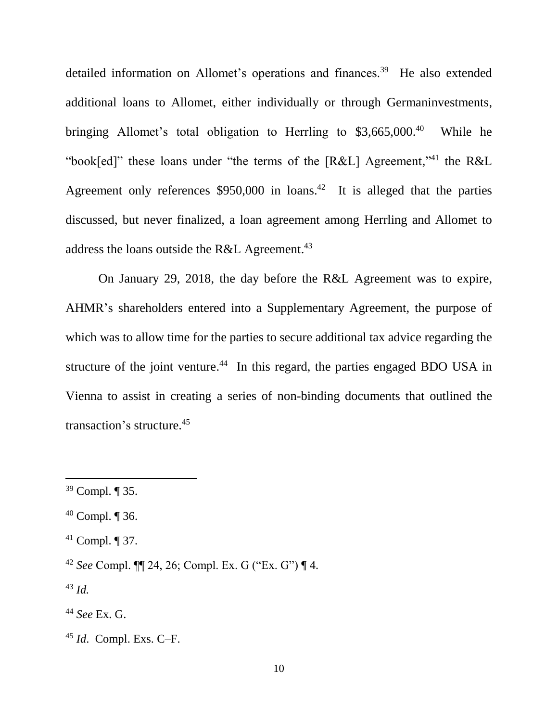detailed information on Allomet's operations and finances.<sup>39</sup> He also extended additional loans to Allomet, either individually or through Germaninvestments, bringing Allomet's total obligation to Herrling to \$3,665,000.<sup>40</sup> While he "book[ed]" these loans under "the terms of the  $[R&L]$  Agreement,"<sup>41</sup> the  $R&L$ Agreement only references \$950,000 in loans. <sup>42</sup> It is alleged that the parties discussed, but never finalized, a loan agreement among Herrling and Allomet to address the loans outside the R&L Agreement.<sup>43</sup>

On January 29, 2018, the day before the R&L Agreement was to expire, AHMR's shareholders entered into a Supplementary Agreement, the purpose of which was to allow time for the parties to secure additional tax advice regarding the structure of the joint venture.<sup>44</sup> In this regard, the parties engaged BDO USA in Vienna to assist in creating a series of non-binding documents that outlined the transaction's structure. 45

<sup>43</sup> *Id.*

<sup>39</sup> Compl. ¶ 35.

 $40$  Compl.  $\P$  36.

 $41$  Compl.  $\P$  37.

<sup>42</sup> *See* Compl. ¶¶ 24, 26; Compl. Ex. G ("Ex. G") ¶ 4.

<sup>44</sup> *See* Ex. G.

<sup>45</sup> *Id*. Compl. Exs. C–F.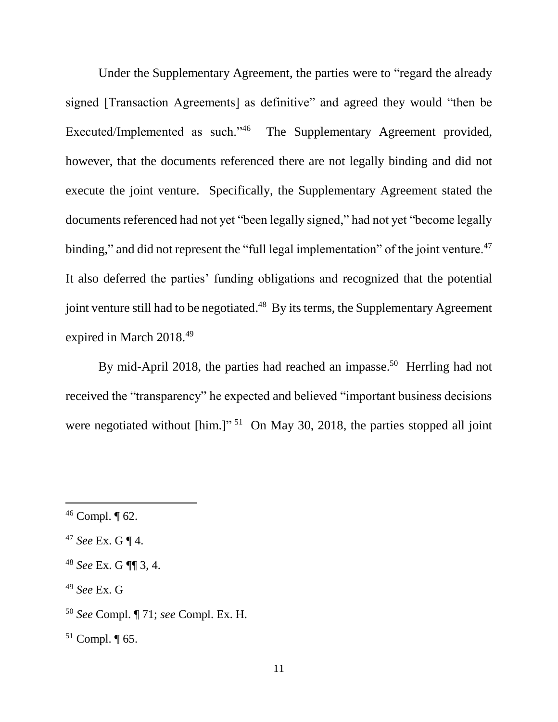Under the Supplementary Agreement, the parties were to "regard the already signed [Transaction Agreements] as definitive" and agreed they would "then be Executed/Implemented as such."<sup>46</sup> The Supplementary Agreement provided, however, that the documents referenced there are not legally binding and did not execute the joint venture. Specifically, the Supplementary Agreement stated the documents referenced had not yet "been legally signed," had not yet "become legally binding," and did not represent the "full legal implementation" of the joint venture.<sup>47</sup> It also deferred the parties' funding obligations and recognized that the potential joint venture still had to be negotiated.<sup>48</sup> By its terms, the Supplementary Agreement expired in March 2018.<sup>49</sup>

By mid-April 2018, the parties had reached an impasse.<sup>50</sup> Herrling had not received the "transparency" he expected and believed "important business decisions were negotiated without [him.]"<sup>51</sup> On May 30, 2018, the parties stopped all joint

 $46$  Compl.  $\P$  62.

<sup>47</sup> *See* Ex. G ¶ 4.

<sup>48</sup> *See* Ex. G ¶¶ 3, 4.

<sup>49</sup> *See* Ex. G

<sup>50</sup> *See* Compl. ¶ 71; *see* Compl. Ex. H.

<sup>51</sup> Compl. ¶ 65.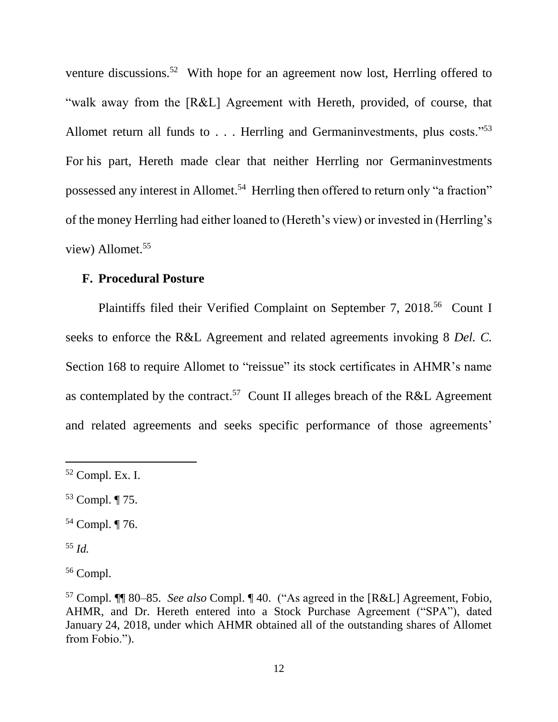venture discussions.<sup>52</sup> With hope for an agreement now lost, Herrling offered to "walk away from the [R&L] Agreement with Hereth, provided, of course, that Allomet return all funds to  $\ldots$ . Herrling and Germaninvestments, plus costs."<sup>53</sup> For his part, Hereth made clear that neither Herrling nor Germaninvestments possessed any interest in Allomet.<sup>54</sup> Herrling then offered to return only "a fraction" of the money Herrling had either loaned to (Hereth's view) or invested in (Herrling's view) Allomet.<sup>55</sup>

## **F. Procedural Posture**

Plaintiffs filed their Verified Complaint on September 7, 2018.<sup>56</sup> Count I seeks to enforce the R&L Agreement and related agreements invoking 8 *Del. C.* Section 168 to require Allomet to "reissue" its stock certificates in AHMR's name as contemplated by the contract.<sup>57</sup> Count II alleges breach of the R&L Agreement and related agreements and seeks specific performance of those agreements'

<sup>54</sup> Compl. ¶ 76.

<sup>52</sup> Compl. Ex. I.

<sup>53</sup> Compl. ¶ 75.

<sup>55</sup> *Id.*

<sup>56</sup> Compl.

<sup>57</sup> Compl. ¶¶ 80–85. *See also* Compl. ¶ 40. ("As agreed in the [R&L] Agreement, Fobio, AHMR, and Dr. Hereth entered into a Stock Purchase Agreement ("SPA"), dated January 24, 2018, under which AHMR obtained all of the outstanding shares of Allomet from Fobio.").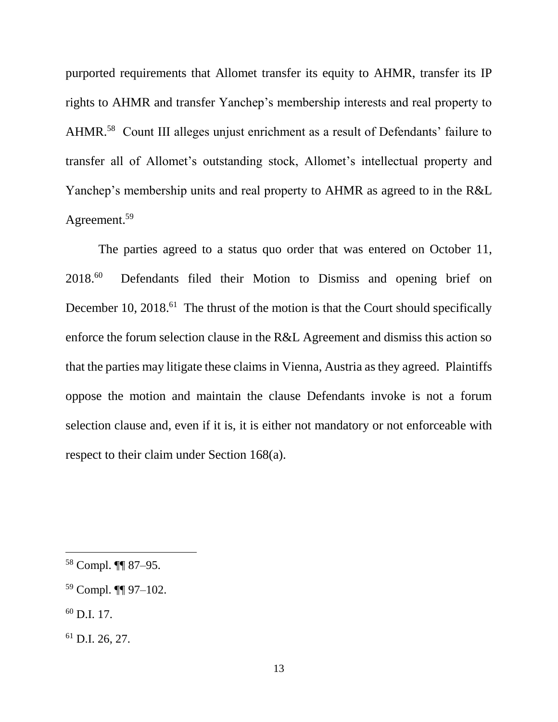purported requirements that Allomet transfer its equity to AHMR, transfer its IP rights to AHMR and transfer Yanchep's membership interests and real property to AHMR.<sup>58</sup> Count III alleges unjust enrichment as a result of Defendants' failure to transfer all of Allomet's outstanding stock, Allomet's intellectual property and Yanchep's membership units and real property to AHMR as agreed to in the R&L Agreement.<sup>59</sup>

The parties agreed to a status quo order that was entered on October 11, 2018.<sup>60</sup> Defendants filed their Motion to Dismiss and opening brief on December 10, 2018.<sup>61</sup> The thrust of the motion is that the Court should specifically enforce the forum selection clause in the R&L Agreement and dismiss this action so that the parties may litigate these claims in Vienna, Austria as they agreed. Plaintiffs oppose the motion and maintain the clause Defendants invoke is not a forum selection clause and, even if it is, it is either not mandatory or not enforceable with respect to their claim under Section 168(a).

 $60$  D.I. 17.

l

 $61$  D.I. 26, 27.

<sup>58</sup> Compl. ¶¶ 87–95.

<sup>59</sup> Compl. ¶¶ 97–102.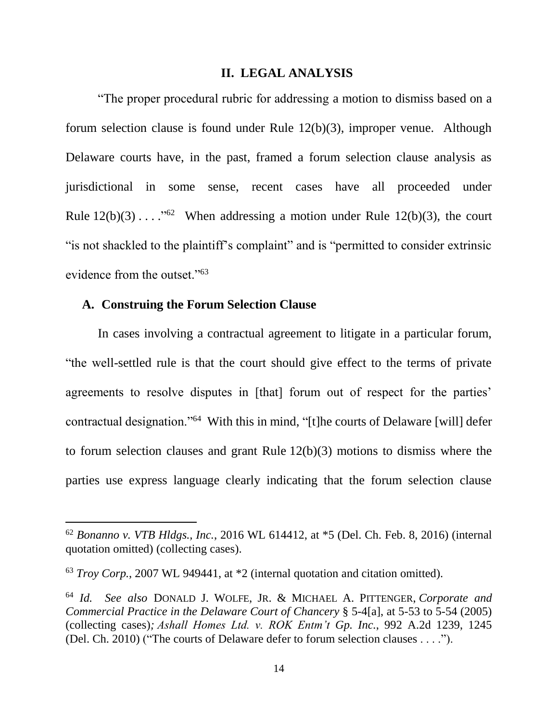#### **II. LEGAL ANALYSIS**

"The proper procedural rubric for addressing a motion to dismiss based on a forum selection clause is found under Rule 12(b)(3), improper venue. Although Delaware courts have, in the past, framed a forum selection clause analysis as jurisdictional in some sense, recent cases have all proceeded under Rule  $12(b)(3) \ldots$ ."<sup>62</sup> When addressing a motion under Rule  $12(b)(3)$ , the court "is not shackled to the plaintiff's complaint" and is "permitted to consider extrinsic evidence from the outset."<sup>63</sup>

#### **A. Construing the Forum Selection Clause**

 $\overline{a}$ 

In cases involving a contractual agreement to litigate in a particular forum, "the well-settled rule is that the court should give effect to the terms of private agreements to resolve disputes in [that] forum out of respect for the parties' contractual designation."<sup>64</sup> With this in mind, "[t]he courts of Delaware [will] defer to forum selection clauses and grant Rule 12(b)(3) motions to dismiss where the parties use express language clearly indicating that the forum selection clause

<sup>62</sup> *Bonanno v. VTB Hldgs., Inc.*, 2016 WL 614412, at \*5 (Del. Ch. Feb. 8, 2016) (internal quotation omitted) (collecting cases).

<sup>63</sup> *Troy Corp.*, 2007 WL 949441, at \*2 (internal quotation and citation omitted).

<sup>64</sup> *Id. See also* DONALD J. WOLFE, JR. & MICHAEL A. PITTENGER, *Corporate and Commercial Practice in the Delaware Court of Chancery* § 5-4[a], at 5-53 to 5-54 (2005) (collecting cases)*; Ashall Homes Ltd. v. ROK Entm't Gp. Inc.*, 992 A.2d 1239, 1245 (Del. Ch. 2010) ("The courts of Delaware defer to forum selection clauses . . . .").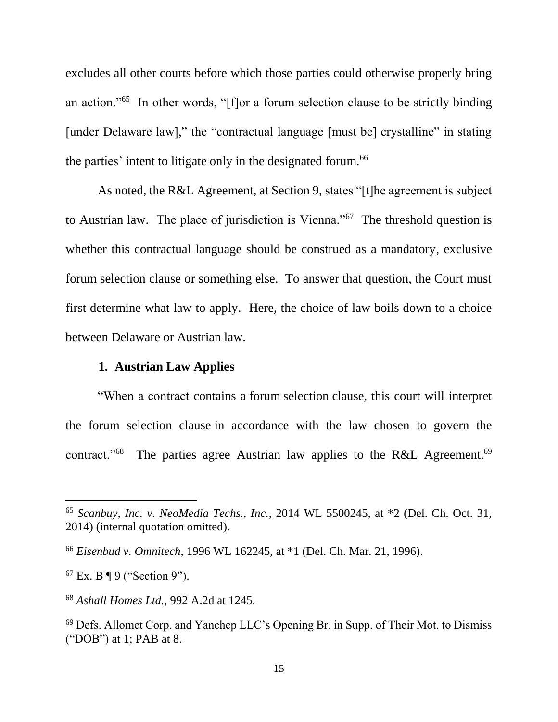excludes all other courts before which those parties could otherwise properly bring an action."<sup>65</sup> In other words, "[f]or a forum selection clause to be strictly binding [under Delaware law]," the "contractual language [must be] crystalline" in stating the parties' intent to litigate only in the designated forum.<sup>66</sup>

As noted, the R&L Agreement, at Section 9, states "[t]he agreement is subject to Austrian law. The place of jurisdiction is Vienna."<sup>67</sup> The threshold question is whether this contractual language should be construed as a mandatory, exclusive forum selection clause or something else. To answer that question, the Court must first determine what law to apply. Here, the choice of law boils down to a choice between Delaware or Austrian law.

### **1. Austrian Law Applies**

"When a contract contains a forum selection clause, this court will interpret the forum selection clause in accordance with the law chosen to govern the contract."<sup>68</sup> The parties agree Austrian law applies to the R&L Agreement.<sup>69</sup>

<sup>65</sup> *Scanbuy, Inc. v. NeoMedia Techs., Inc.*, 2014 WL 5500245, at \*2 (Del. Ch. Oct. 31, 2014) (internal quotation omitted).

<sup>66</sup> *Eisenbud v. Omnitech*, 1996 WL 162245, at \*1 (Del. Ch. Mar. 21, 1996).

 $67$  Ex. B ¶ 9 ("Section 9").

<sup>68</sup> *Ashall Homes Ltd.,* 992 A.2d at 1245.

<sup>69</sup> Defs. Allomet Corp. and Yanchep LLC's Opening Br. in Supp. of Their Mot. to Dismiss ("DOB") at 1; PAB at 8.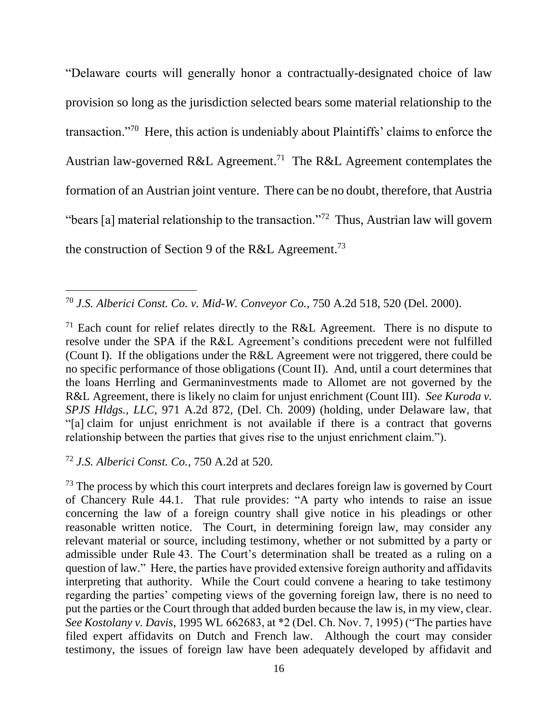"Delaware courts will generally honor a contractually-designated choice of law provision so long as the jurisdiction selected bears some material relationship to the transaction."<sup>70</sup> Here, this action is undeniably about Plaintiffs' claims to enforce the Austrian law-governed R&L Agreement.<sup>71</sup> The R&L Agreement contemplates the formation of an Austrian joint venture. There can be no doubt, therefore, that Austria "bears [a] material relationship to the transaction."<sup>72</sup> Thus, Austrian law will govern the construction of Section 9 of the R&L Agreement.<sup>73</sup>

<sup>70</sup> *J.S. Alberici Const. Co. v. Mid-W. Conveyor Co.*, 750 A.2d 518, 520 (Del. 2000).

<sup>71</sup> Each count for relief relates directly to the R&L Agreement. There is no dispute to resolve under the SPA if the R&L Agreement's conditions precedent were not fulfilled (Count I). If the obligations under the R&L Agreement were not triggered, there could be no specific performance of those obligations (Count II). And, until a court determines that the loans Herrling and Germaninvestments made to Allomet are not governed by the R&L Agreement, there is likely no claim for unjust enrichment (Count III). *See Kuroda v. SPJS Hldgs., LLC*, 971 A.2d 872, (Del. Ch. 2009) (holding, under Delaware law, that "[a] claim for unjust enrichment is not available if there is a contract that governs relationship between the parties that gives rise to the unjust enrichment claim.").

<sup>72</sup> *J.S. Alberici Const. Co.,* 750 A.2d at 520.

 $\overline{a}$ 

<sup>73</sup> The process by which this court interprets and declares foreign law is governed by Court of Chancery Rule 44.1. That rule provides: "A party who intends to raise an issue concerning the law of a foreign country shall give notice in his pleadings or other reasonable written notice. The Court, in determining foreign law, may consider any relevant material or source, including testimony, whether or not submitted by a party or admissible under Rule 43. The Court's determination shall be treated as a ruling on a question of law." Here, the parties have provided extensive foreign authority and affidavits interpreting that authority. While the Court could convene a hearing to take testimony regarding the parties' competing views of the governing foreign law, there is no need to put the parties or the Court through that added burden because the law is, in my view, clear. *See Kostolany v. Davis*, 1995 WL 662683, at \*2 (Del. Ch. Nov. 7, 1995) ("The parties have filed expert affidavits on Dutch and French law. Although the court may consider testimony, the issues of foreign law have been adequately developed by affidavit and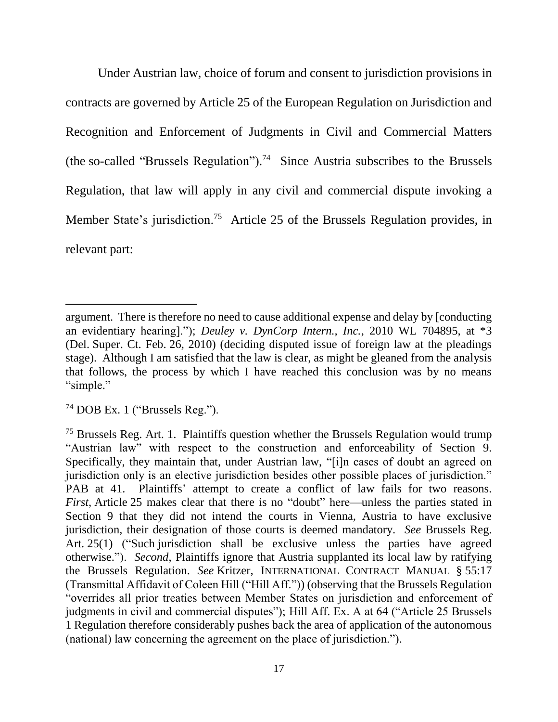Under Austrian law, choice of forum and consent to jurisdiction provisions in contracts are governed by Article 25 of the European Regulation on Jurisdiction and Recognition and Enforcement of Judgments in Civil and Commercial Matters (the so-called "Brussels Regulation").<sup>74</sup> Since Austria subscribes to the Brussels Regulation, that law will apply in any civil and commercial dispute invoking a Member State's jurisdiction.<sup>75</sup> Article 25 of the Brussels Regulation provides, in relevant part:

argument. There is therefore no need to cause additional expense and delay by [conducting an evidentiary hearing]."); *Deuley v. DynCorp Intern., Inc.*, 2010 WL 704895, at \*3 (Del. Super. Ct. Feb. 26, 2010) (deciding disputed issue of foreign law at the pleadings stage). Although I am satisfied that the law is clear, as might be gleaned from the analysis that follows, the process by which I have reached this conclusion was by no means "simple."

<sup>74</sup> DOB Ex. 1 ("Brussels Reg.").

<sup>&</sup>lt;sup>75</sup> Brussels Reg. Art. 1. Plaintiffs question whether the Brussels Regulation would trump "Austrian law" with respect to the construction and enforceability of Section 9. Specifically, they maintain that, under Austrian law, "[i]n cases of doubt an agreed on jurisdiction only is an elective jurisdiction besides other possible places of jurisdiction." PAB at 41. Plaintiffs' attempt to create a conflict of law fails for two reasons. *First*, Article 25 makes clear that there is no "doubt" here—unless the parties stated in Section 9 that they did not intend the courts in Vienna, Austria to have exclusive jurisdiction, their designation of those courts is deemed mandatory. *See* Brussels Reg. Art. 25(1) ("Such jurisdiction shall be exclusive unless the parties have agreed otherwise."). *Second*, Plaintiffs ignore that Austria supplanted its local law by ratifying the Brussels Regulation. *See* Kritzer, INTERNATIONAL CONTRACT MANUAL § 55:17 (Transmittal Affidavit of Coleen Hill ("Hill Aff.")) (observing that the Brussels Regulation "overrides all prior treaties between Member States on jurisdiction and enforcement of judgments in civil and commercial disputes"); Hill Aff. Ex. A at 64 ("Article 25 Brussels 1 Regulation therefore considerably pushes back the area of application of the autonomous (national) law concerning the agreement on the place of jurisdiction.").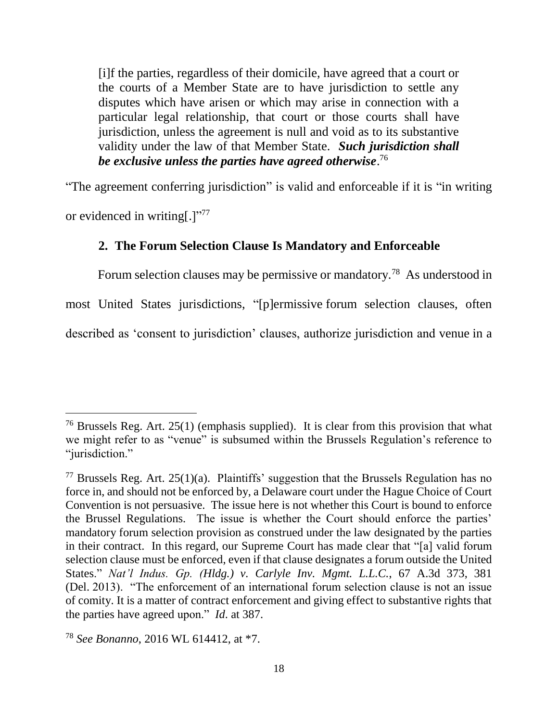[i]f the parties, regardless of their domicile, have agreed that a court or the courts of a Member State are to have jurisdiction to settle any disputes which have arisen or which may arise in connection with a particular legal relationship, that court or those courts shall have jurisdiction, unless the agreement is null and void as to its substantive validity under the law of that Member State. *Such jurisdiction shall be exclusive unless the parties have agreed otherwise*. 76

"The agreement conferring jurisdiction" is valid and enforceable if it is "in writing or evidenced in writing[.]"<sup>77</sup>

# **2. The Forum Selection Clause Is Mandatory and Enforceable**

Forum selection clauses may be permissive or mandatory.<sup>78</sup> As understood in

most United States jurisdictions, "[p]ermissive forum selection clauses, often

described as 'consent to jurisdiction' clauses, authorize jurisdiction and venue in a

<sup>&</sup>lt;sup>76</sup> Brussels Reg. Art.  $25(1)$  (emphasis supplied). It is clear from this provision that what we might refer to as "venue" is subsumed within the Brussels Regulation's reference to "jurisdiction."

<sup>&</sup>lt;sup>77</sup> Brussels Reg. Art.  $25(1)(a)$ . Plaintiffs' suggestion that the Brussels Regulation has no force in, and should not be enforced by, a Delaware court under the Hague Choice of Court Convention is not persuasive. The issue here is not whether this Court is bound to enforce the Brussel Regulations. The issue is whether the Court should enforce the parties' mandatory forum selection provision as construed under the law designated by the parties in their contract. In this regard, our Supreme Court has made clear that "[a] valid forum selection clause must be enforced, even if that clause designates a forum outside the United States." *Nat'l Indus. Gp. (Hldg.) v. Carlyle Inv. Mgmt. L.L.C.*, 67 A.3d 373, 381 (Del. 2013). "The enforcement of an international forum selection clause is not an issue of comity. It is a matter of contract enforcement and giving effect to substantive rights that the parties have agreed upon." *Id*. at 387.

<sup>78</sup> *See Bonanno*, 2016 WL 614412, at \*7.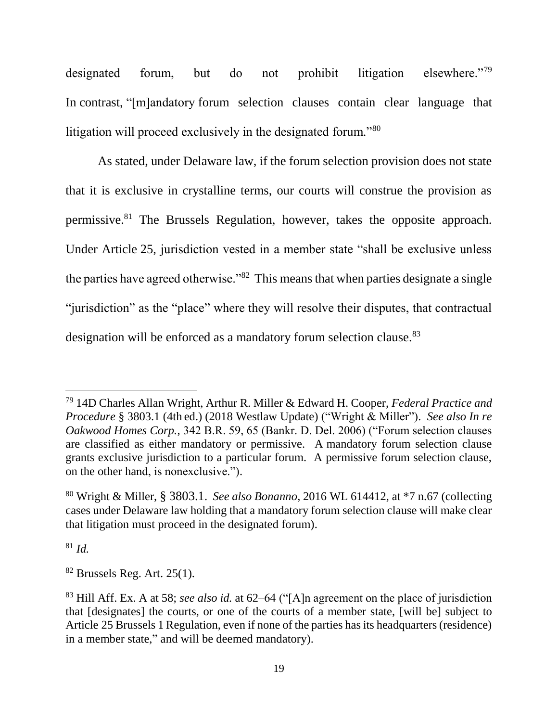designated forum, but do not prohibit litigation elsewhere."79 In contrast, "[m]andatory forum selection clauses contain clear language that litigation will proceed exclusively in the designated forum."<sup>80</sup>

As stated, under Delaware law, if the forum selection provision does not state that it is exclusive in crystalline terms, our courts will construe the provision as permissive.<sup>81</sup> The Brussels Regulation, however, takes the opposite approach. Under Article 25, jurisdiction vested in a member state "shall be exclusive unless the parties have agreed otherwise."<sup>82</sup> This means that when parties designate a single "jurisdiction" as the "place" where they will resolve their disputes, that contractual designation will be enforced as a mandatory forum selection clause.<sup>83</sup>

<sup>81</sup> *Id.*

<sup>79</sup> 14D Charles Allan Wright, Arthur R. Miller & Edward H. Cooper, *Federal Practice and Procedure* § 3803.1 (4th ed.) (2018 Westlaw Update) ("Wright & Miller"). *See also In re Oakwood Homes Corp.*, 342 B.R. 59, 65 (Bankr. D. Del. 2006) ("Forum selection clauses are classified as either mandatory or permissive. A mandatory forum selection clause grants exclusive jurisdiction to a particular forum. A permissive forum selection clause, on the other hand, is nonexclusive.").

<sup>80</sup> Wright & Miller, § 3803.1. *See also Bonanno*, 2016 WL 614412, at \*7 n.67 (collecting cases under Delaware law holding that a mandatory forum selection clause will make clear that litigation must proceed in the designated forum).

 $82$  Brussels Reg. Art. 25(1).

<sup>83</sup> Hill Aff. Ex. A at 58; *see also id.* at 62–64 ("[A]n agreement on the place of jurisdiction that [designates] the courts, or one of the courts of a member state, [will be] subject to Article 25 Brussels 1 Regulation, even if none of the parties has its headquarters (residence) in a member state," and will be deemed mandatory).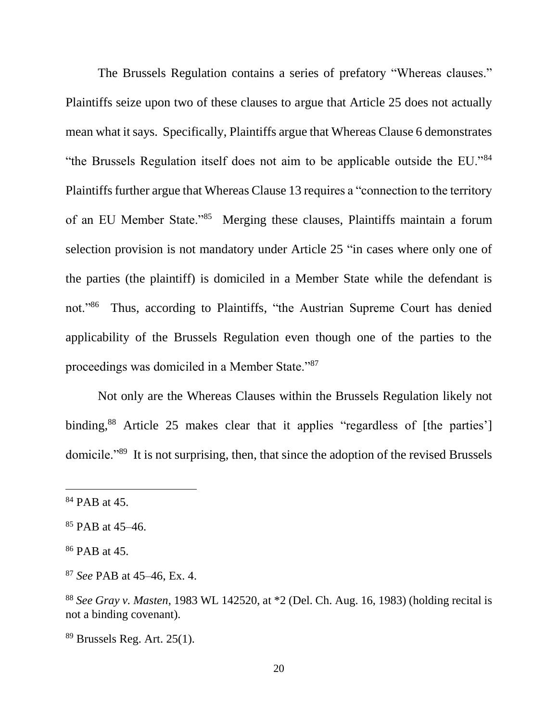The Brussels Regulation contains a series of prefatory "Whereas clauses." Plaintiffs seize upon two of these clauses to argue that Article 25 does not actually mean what it says. Specifically, Plaintiffs argue that Whereas Clause 6 demonstrates "the Brussels Regulation itself does not aim to be applicable outside the EU."<sup>84</sup> Plaintiffs further argue that Whereas Clause 13 requires a "connection to the territory of an EU Member State."<sup>85</sup> Merging these clauses, Plaintiffs maintain a forum selection provision is not mandatory under Article 25 "in cases where only one of the parties (the plaintiff) is domiciled in a Member State while the defendant is not."<sup>86</sup> Thus, according to Plaintiffs, "the Austrian Supreme Court has denied applicability of the Brussels Regulation even though one of the parties to the proceedings was domiciled in a Member State."<sup>87</sup>

Not only are the Whereas Clauses within the Brussels Regulation likely not binding,<sup>88</sup> Article 25 makes clear that it applies "regardless of [the parties'] domicile."<sup>89</sup> It is not surprising, then, that since the adoption of the revised Brussels

<sup>84</sup> PAB at 45.

<sup>85</sup> PAB at 45–46.

<sup>86</sup> PAB at 45.

<sup>87</sup> *See* PAB at 45–46, Ex. 4.

<sup>88</sup> *See Gray v. Masten*, 1983 WL 142520, at \*2 (Del. Ch. Aug. 16, 1983) (holding recital is not a binding covenant).

 $89$  Brussels Reg. Art. 25(1).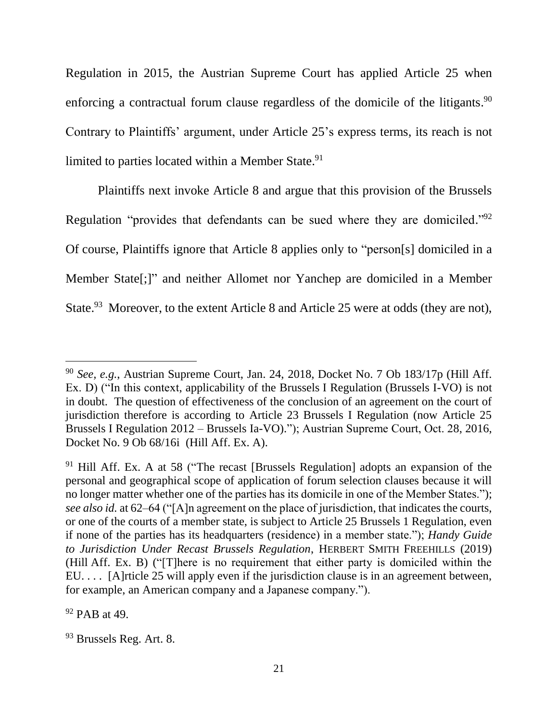Regulation in 2015, the Austrian Supreme Court has applied Article 25 when enforcing a contractual forum clause regardless of the domicile of the litigants.<sup>90</sup> Contrary to Plaintiffs' argument, under Article 25's express terms, its reach is not limited to parties located within a Member State.<sup>91</sup>

Plaintiffs next invoke Article 8 and argue that this provision of the Brussels Regulation "provides that defendants can be sued where they are domiciled."<sup>92</sup> Of course, Plaintiffs ignore that Article 8 applies only to "person[s] domiciled in a Member State[;]" and neither Allomet nor Yanchep are domiciled in a Member State.<sup>93</sup> Moreover, to the extent Article 8 and Article 25 were at odds (they are not),

<sup>92</sup> PAB at 49.

<sup>90</sup> *See, e.g.*, Austrian Supreme Court, Jan. 24, 2018, Docket No. 7 Ob 183/17p (Hill Aff. Ex. D) ("In this context, applicability of the Brussels I Regulation (Brussels I-VO) is not in doubt. The question of effectiveness of the conclusion of an agreement on the court of jurisdiction therefore is according to Article 23 Brussels I Regulation (now Article 25 Brussels I Regulation 2012 – Brussels Ia-VO)."); Austrian Supreme Court, Oct. 28, 2016, Docket No. 9 Ob 68/16i (Hill Aff. Ex. A).

 $91$  Hill Aff. Ex. A at 58 ("The recast [Brussels Regulation] adopts an expansion of the personal and geographical scope of application of forum selection clauses because it will no longer matter whether one of the parties has its domicile in one of the Member States."); *see also id.* at 62–64 ("[A]n agreement on the place of jurisdiction, that indicates the courts, or one of the courts of a member state, is subject to Article 25 Brussels 1 Regulation, even if none of the parties has its headquarters (residence) in a member state."); *Handy Guide to Jurisdiction Under Recast Brussels Regulation*, HERBERT SMITH FREEHILLS (2019) (Hill Aff. Ex. B) ("[T]here is no requirement that either party is domiciled within the EU. . . . [A]rticle 25 will apply even if the jurisdiction clause is in an agreement between, for example, an American company and a Japanese company.").

<sup>93</sup> Brussels Reg. Art. 8.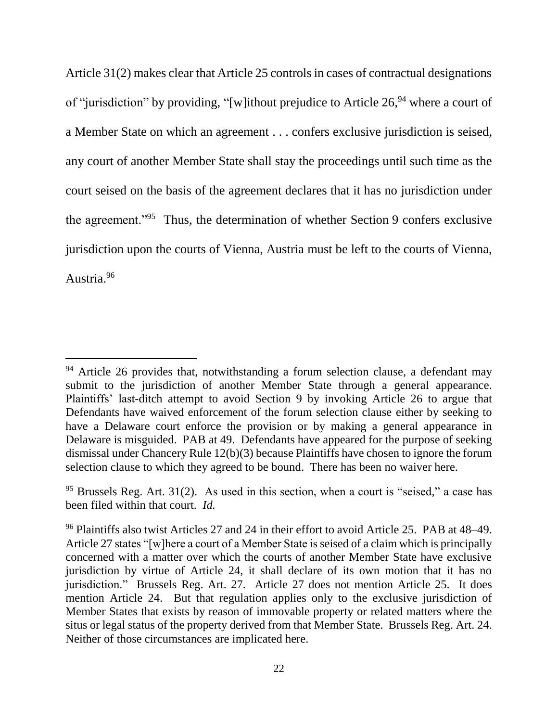Article 31(2) makes clear that Article 25 controls in cases of contractual designations of "jurisdiction" by providing, "[w]ithout prejudice to Article  $26$ ,  $94$  where a court of a Member State on which an agreement . . . confers exclusive jurisdiction is seised, any court of another Member State shall stay the proceedings until such time as the court seised on the basis of the agreement declares that it has no jurisdiction under the agreement."<sup>95</sup> Thus, the determination of whether Section 9 confers exclusive jurisdiction upon the courts of Vienna, Austria must be left to the courts of Vienna, Austria.<sup>96</sup>

 $94$  Article 26 provides that, notwithstanding a forum selection clause, a defendant may submit to the jurisdiction of another Member State through a general appearance. Plaintiffs' last-ditch attempt to avoid Section 9 by invoking Article 26 to argue that Defendants have waived enforcement of the forum selection clause either by seeking to have a Delaware court enforce the provision or by making a general appearance in Delaware is misguided. PAB at 49. Defendants have appeared for the purpose of seeking dismissal under Chancery Rule 12(b)(3) because Plaintiffs have chosen to ignore the forum selection clause to which they agreed to be bound. There has been no waiver here.

 $95$  Brussels Reg. Art. 31(2). As used in this section, when a court is "seised," a case has been filed within that court. *Id.*

<sup>96</sup> Plaintiffs also twist Articles 27 and 24 in their effort to avoid Article 25. PAB at 48–49. Article 27 states "[w]here a court of a Member State is seised of a claim which is principally concerned with a matter over which the courts of another Member State have exclusive jurisdiction by virtue of Article 24, it shall declare of its own motion that it has no jurisdiction." Brussels Reg. Art. 27. Article 27 does not mention Article 25. It does mention Article 24. But that regulation applies only to the exclusive jurisdiction of Member States that exists by reason of immovable property or related matters where the situs or legal status of the property derived from that Member State. Brussels Reg. Art. 24. Neither of those circumstances are implicated here.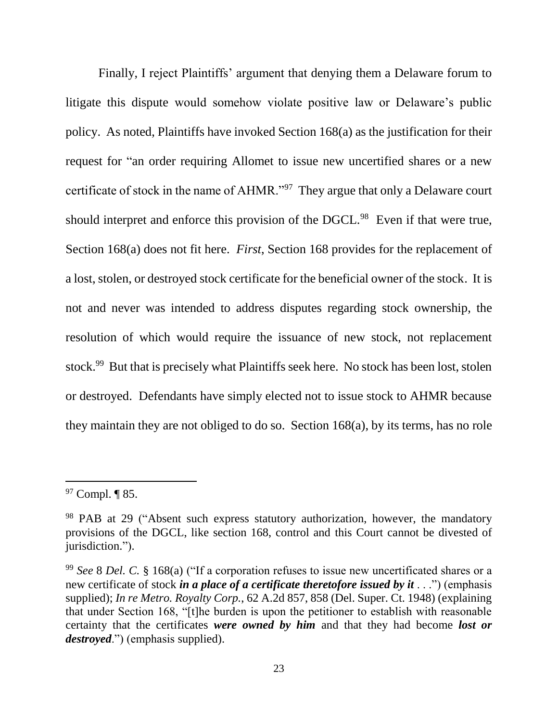Finally, I reject Plaintiffs' argument that denying them a Delaware forum to litigate this dispute would somehow violate positive law or Delaware's public policy. As noted, Plaintiffs have invoked Section 168(a) as the justification for their request for "an order requiring Allomet to issue new uncertified shares or a new certificate of stock in the name of AHMR."<sup>97</sup> They argue that only a Delaware court should interpret and enforce this provision of the DGCL.<sup>98</sup> Even if that were true, Section 168(a) does not fit here. *First*, Section 168 provides for the replacement of a lost, stolen, or destroyed stock certificate for the beneficial owner of the stock. It is not and never was intended to address disputes regarding stock ownership, the resolution of which would require the issuance of new stock, not replacement stock.<sup>99</sup> But that is precisely what Plaintiffs seek here. No stock has been lost, stolen or destroyed. Defendants have simply elected not to issue stock to AHMR because they maintain they are not obliged to do so. Section 168(a), by its terms, has no role

 $97$  Compl.  $\P$  85.

<sup>98</sup> PAB at 29 ("Absent such express statutory authorization, however, the mandatory provisions of the DGCL, like section 168, control and this Court cannot be divested of jurisdiction.").

<sup>99</sup> *See* 8 *Del. C.* § 168(a) ("If a corporation refuses to issue new uncertificated shares or a new certificate of stock *in a place of a certificate theretofore issued by it* . . .") (emphasis supplied); *In re Metro. Royalty Corp.*, 62 A.2d 857, 858 (Del. Super. Ct. 1948) (explaining that under Section 168, "[t]he burden is upon the petitioner to establish with reasonable certainty that the certificates *were owned by him* and that they had become *lost or destroyed*.") (emphasis supplied).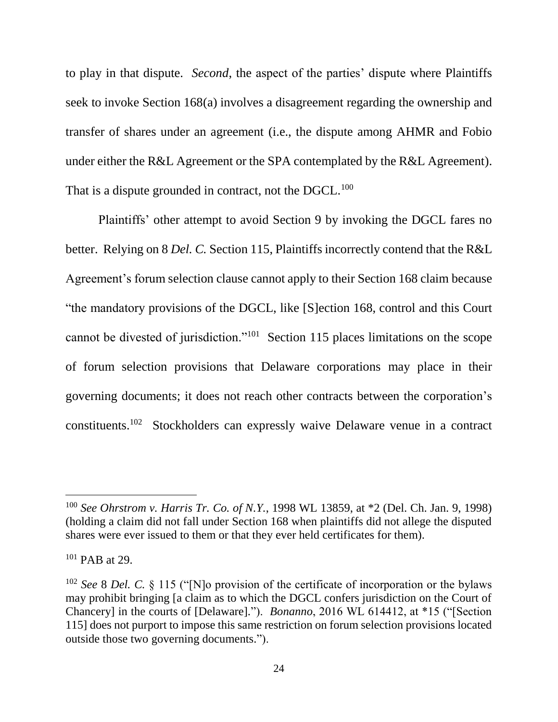to play in that dispute. *Second*, the aspect of the parties' dispute where Plaintiffs seek to invoke Section 168(a) involves a disagreement regarding the ownership and transfer of shares under an agreement (i.e., the dispute among AHMR and Fobio under either the R&L Agreement or the SPA contemplated by the R&L Agreement). That is a dispute grounded in contract, not the DGCL.<sup>100</sup>

Plaintiffs' other attempt to avoid Section 9 by invoking the DGCL fares no better. Relying on 8 *Del. C.* Section 115, Plaintiffs incorrectly contend that the R&L Agreement's forum selection clause cannot apply to their Section 168 claim because "the mandatory provisions of the DGCL, like [S]ection 168, control and this Court cannot be divested of jurisdiction."<sup>101</sup> Section 115 places limitations on the scope of forum selection provisions that Delaware corporations may place in their governing documents; it does not reach other contracts between the corporation's constituents. <sup>102</sup> Stockholders can expressly waive Delaware venue in a contract

<sup>100</sup> *See Ohrstrom v. Harris Tr. Co. of N.Y.*, 1998 WL 13859, at \*2 (Del. Ch. Jan. 9, 1998) (holding a claim did not fall under Section 168 when plaintiffs did not allege the disputed shares were ever issued to them or that they ever held certificates for them).

<sup>101</sup> PAB at 29.

<sup>102</sup> *See* 8 *Del. C.* § 115 ("[N]o provision of the certificate of incorporation or the bylaws may prohibit bringing [a claim as to which the DGCL confers jurisdiction on the Court of Chancery] in the courts of [Delaware]."). *Bonanno*, 2016 WL 614412, at \*15 ("[Section 115] does not purport to impose this same restriction on forum selection provisions located outside those two governing documents.").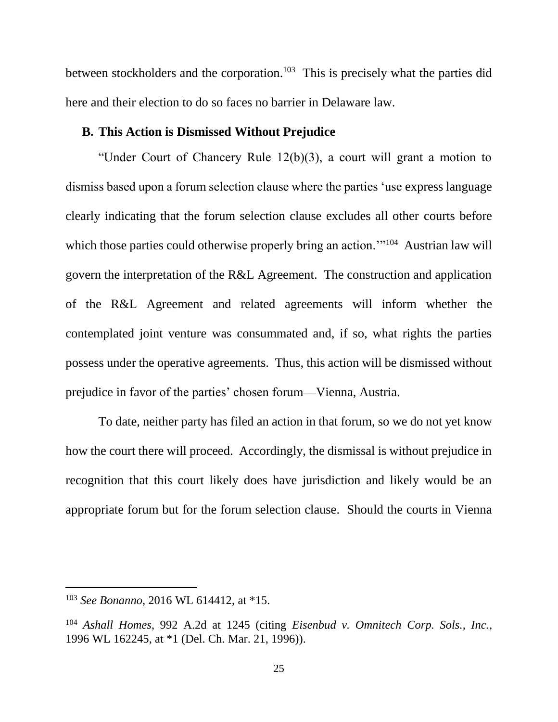between stockholders and the corporation.<sup>103</sup> This is precisely what the parties did here and their election to do so faces no barrier in Delaware law.

# **B. This Action is Dismissed Without Prejudice**

"Under Court of Chancery Rule 12(b)(3), a court will grant a motion to dismiss based upon a forum selection clause where the parties 'use express language clearly indicating that the forum selection clause excludes all other courts before which those parties could otherwise properly bring an action."<sup>104</sup> Austrian law will govern the interpretation of the R&L Agreement. The construction and application of the R&L Agreement and related agreements will inform whether the contemplated joint venture was consummated and, if so, what rights the parties possess under the operative agreements. Thus, this action will be dismissed without prejudice in favor of the parties' chosen forum––Vienna, Austria.

To date, neither party has filed an action in that forum, so we do not yet know how the court there will proceed. Accordingly, the dismissal is without prejudice in recognition that this court likely does have jurisdiction and likely would be an appropriate forum but for the forum selection clause. Should the courts in Vienna

<sup>103</sup> *See Bonanno*, 2016 WL 614412, at \*15.

<sup>104</sup> *Ashall Homes*, 992 A.2d at 1245 (citing *Eisenbud v. Omnitech Corp. Sols., Inc.*, 1996 WL 162245, at \*1 (Del. Ch. Mar. 21, 1996)).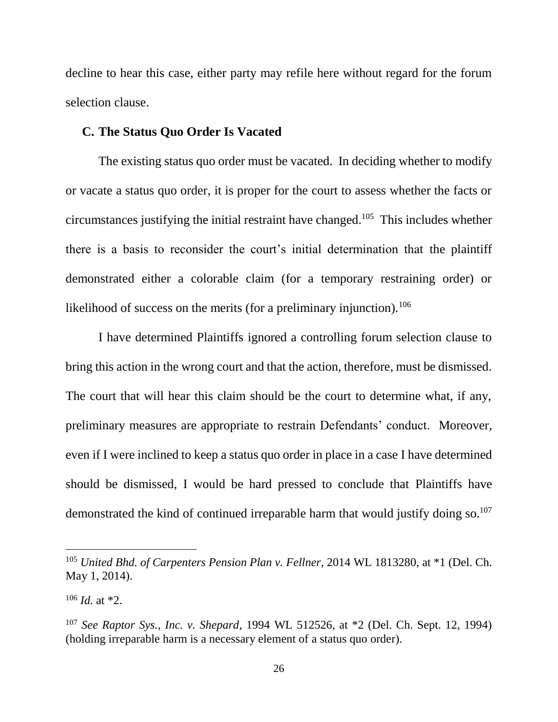decline to hear this case, either party may refile here without regard for the forum selection clause.

### **C. The Status Quo Order Is Vacated**

The existing status quo order must be vacated. In deciding whether to modify or vacate a status quo order, it is proper for the court to assess whether the facts or circumstances justifying the initial restraint have changed.<sup>105</sup> This includes whether there is a basis to reconsider the court's initial determination that the plaintiff demonstrated either a colorable claim (for a temporary restraining order) or likelihood of success on the merits (for a preliminary injunction).<sup>106</sup>

I have determined Plaintiffs ignored a controlling forum selection clause to bring this action in the wrong court and that the action, therefore, must be dismissed. The court that will hear this claim should be the court to determine what, if any, preliminary measures are appropriate to restrain Defendants' conduct. Moreover, even if I were inclined to keep a status quo order in place in a case I have determined should be dismissed, I would be hard pressed to conclude that Plaintiffs have demonstrated the kind of continued irreparable harm that would justify doing so.<sup>107</sup>

<sup>105</sup> *United Bhd. of Carpenters Pension Plan v. Fellner*, 2014 WL 1813280, at \*1 (Del. Ch. May 1, 2014).

<sup>106</sup> *Id.* at \*2.

<sup>107</sup> *See Raptor Sys., Inc. v. Shepard*, 1994 WL 512526, at \*2 (Del. Ch. Sept. 12, 1994) (holding irreparable harm is a necessary element of a status quo order).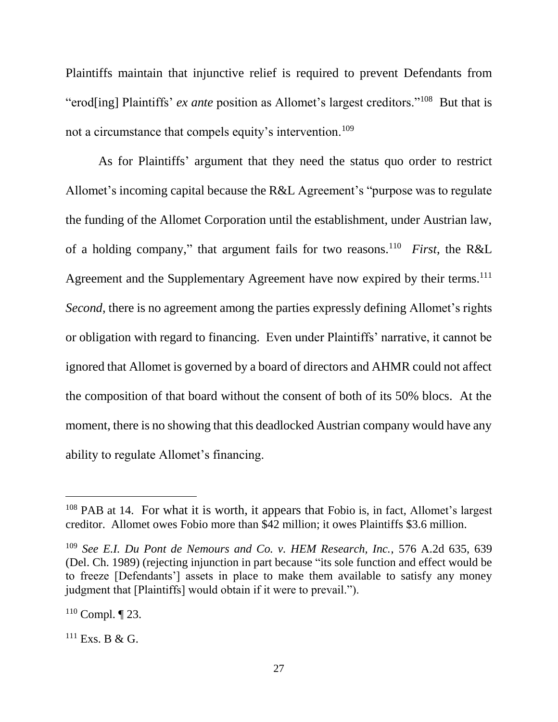Plaintiffs maintain that injunctive relief is required to prevent Defendants from "erod[ing] Plaintiffs' *ex ante* position as Allomet's largest creditors."<sup>108</sup> But that is not a circumstance that compels equity's intervention.<sup>109</sup>

As for Plaintiffs' argument that they need the status quo order to restrict Allomet's incoming capital because the R&L Agreement's "purpose was to regulate the funding of the Allomet Corporation until the establishment, under Austrian law, of a holding company," that argument fails for two reasons.<sup>110</sup> *First*, the R&L Agreement and the Supplementary Agreement have now expired by their terms.<sup>111</sup> *Second*, there is no agreement among the parties expressly defining Allomet's rights or obligation with regard to financing. Even under Plaintiffs' narrative, it cannot be ignored that Allomet is governed by a board of directors and AHMR could not affect the composition of that board without the consent of both of its 50% blocs. At the moment, there is no showing that this deadlocked Austrian company would have any ability to regulate Allomet's financing.

<sup>&</sup>lt;sup>108</sup> PAB at 14. For what it is worth, it appears that Fobio is, in fact, Allomet's largest creditor. Allomet owes Fobio more than \$42 million; it owes Plaintiffs \$3.6 million.

<sup>109</sup> *See E.I. Du Pont de Nemours and Co. v. HEM Research, Inc.*, 576 A.2d 635, 639 (Del. Ch. 1989) (rejecting injunction in part because "its sole function and effect would be to freeze [Defendants'] assets in place to make them available to satisfy any money judgment that [Plaintiffs] would obtain if it were to prevail.").

 $110$  Compl.  $\P$  23.

 $^{111}$  Exs. B & G.